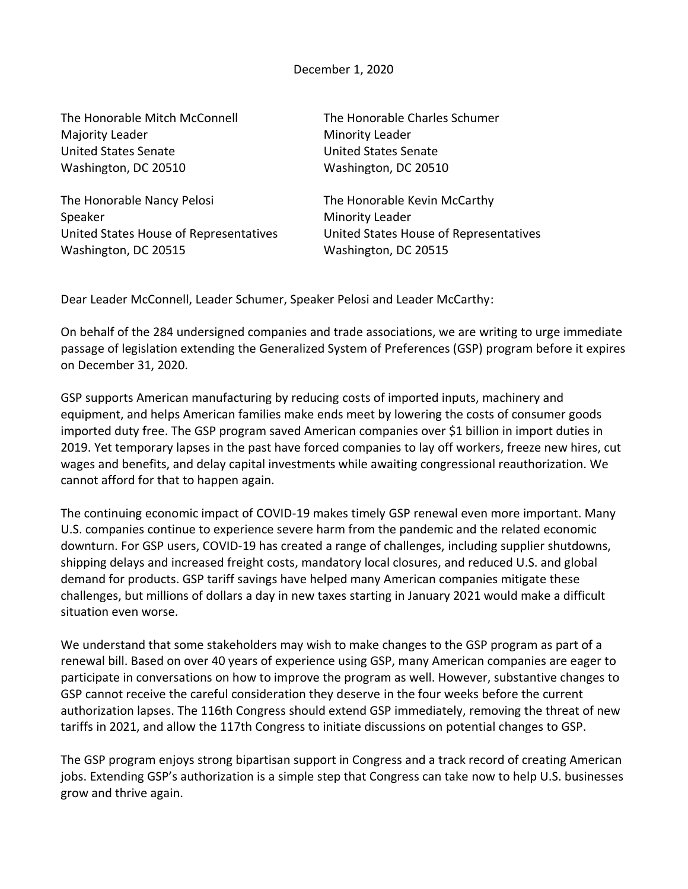The Honorable Mitch McConnell The Honorable Charles Schumer Majority Leader Minority Leader United States Senate United States Senate Washington, DC 20510 Washington, DC 20510

The Honorable Nancy Pelosi The Honorable Kevin McCarthy Speaker Minority Leader Washington, DC 20515 Washington, DC 20515

United States House of Representatives United States House of Representatives

Dear Leader McConnell, Leader Schumer, Speaker Pelosi and Leader McCarthy:

On behalf of the 284 undersigned companies and trade associations, we are writing to urge immediate passage of legislation extending the Generalized System of Preferences (GSP) program before it expires on December 31, 2020.

GSP supports American manufacturing by reducing costs of imported inputs, machinery and equipment, and helps American families make ends meet by lowering the costs of consumer goods imported duty free. The GSP program saved American companies over \$1 billion in import duties in 2019. Yet temporary lapses in the past have forced companies to lay off workers, freeze new hires, cut wages and benefits, and delay capital investments while awaiting congressional reauthorization. We cannot afford for that to happen again.

The continuing economic impact of COVID-19 makes timely GSP renewal even more important. Many U.S. companies continue to experience severe harm from the pandemic and the related economic downturn. For GSP users, COVID-19 has created a range of challenges, including supplier shutdowns, shipping delays and increased freight costs, mandatory local closures, and reduced U.S. and global demand for products. GSP tariff savings have helped many American companies mitigate these challenges, but millions of dollars a day in new taxes starting in January 2021 would make a difficult situation even worse.

We understand that some stakeholders may wish to make changes to the GSP program as part of a renewal bill. Based on over 40 years of experience using GSP, many American companies are eager to participate in conversations on how to improve the program as well. However, substantive changes to GSP cannot receive the careful consideration they deserve in the four weeks before the current authorization lapses. The 116th Congress should extend GSP immediately, removing the threat of new tariffs in 2021, and allow the 117th Congress to initiate discussions on potential changes to GSP.

The GSP program enjoys strong bipartisan support in Congress and a track record of creating American jobs. Extending GSP's authorization is a simple step that Congress can take now to help U.S. businesses grow and thrive again.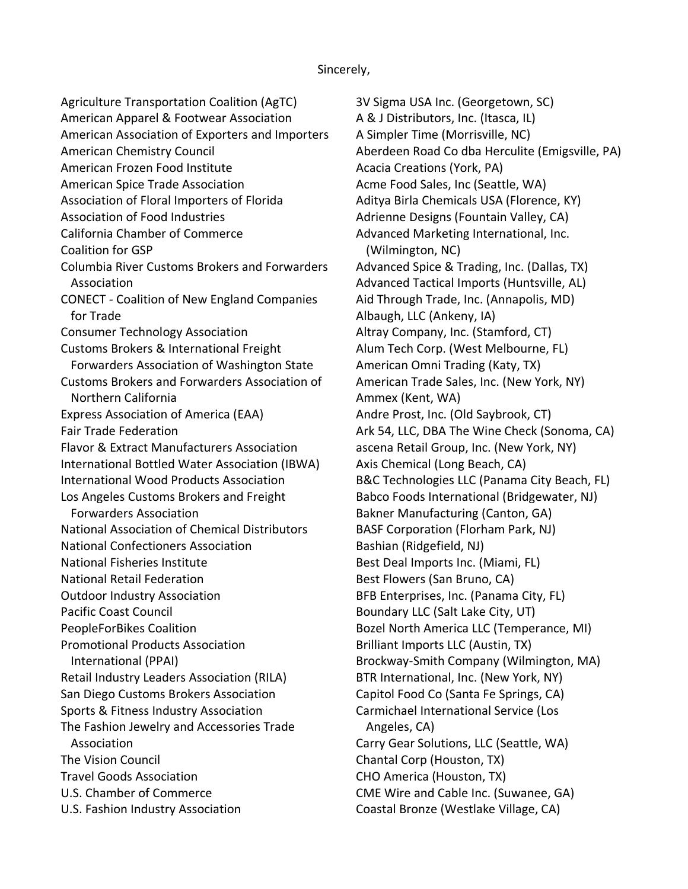Agriculture Transportation Coalition (AgTC) American Apparel & Footwear Association American Association of Exporters and Importers American Chemistry Council American Frozen Food Institute American Spice Trade Association Association of Floral Importers of Florida Association of Food Industries California Chamber of Commerce Coalition for GSP Columbia River Customs Brokers and Forwarders Association CONECT - Coalition of New England Companies for Trade Consumer Technology Association Customs Brokers & International Freight Forwarders Association of Washington State Customs Brokers and Forwarders Association of Northern California Express Association of America (EAA) Fair Trade Federation Flavor & Extract Manufacturers Association International Bottled Water Association (IBWA) International Wood Products Association Los Angeles Customs Brokers and Freight Forwarders Association National Association of Chemical Distributors National Confectioners Association National Fisheries Institute National Retail Federation Outdoor Industry Association Pacific Coast Council PeopleForBikes Coalition Promotional Products Association International (PPAI) Retail Industry Leaders Association (RILA) San Diego Customs Brokers Association Sports & Fitness Industry Association The Fashion Jewelry and Accessories Trade Association The Vision Council Travel Goods Association U.S. Chamber of Commerce U.S. Fashion Industry Association

3V Sigma USA Inc. (Georgetown, SC) A & J Distributors, Inc. (Itasca, IL) A Simpler Time (Morrisville, NC) Aberdeen Road Co dba Herculite (Emigsville, PA) Acacia Creations (York, PA) Acme Food Sales, Inc (Seattle, WA) Aditya Birla Chemicals USA (Florence, KY) Adrienne Designs (Fountain Valley, CA) Advanced Marketing International, Inc. (Wilmington, NC) Advanced Spice & Trading, Inc. (Dallas, TX) Advanced Tactical Imports (Huntsville, AL) Aid Through Trade, Inc. (Annapolis, MD) Albaugh, LLC (Ankeny, IA) Altray Company, Inc. (Stamford, CT) Alum Tech Corp. (West Melbourne, FL) American Omni Trading (Katy, TX) American Trade Sales, Inc. (New York, NY) Ammex (Kent, WA) Andre Prost, Inc. (Old Saybrook, CT) Ark 54, LLC, DBA The Wine Check (Sonoma, CA) ascena Retail Group, Inc. (New York, NY) Axis Chemical (Long Beach, CA) B&C Technologies LLC (Panama City Beach, FL) Babco Foods International (Bridgewater, NJ) Bakner Manufacturing (Canton, GA) BASF Corporation (Florham Park, NJ) Bashian (Ridgefield, NJ) Best Deal Imports Inc. (Miami, FL) Best Flowers (San Bruno, CA) BFB Enterprises, Inc. (Panama City, FL) Boundary LLC (Salt Lake City, UT) Bozel North America LLC (Temperance, MI) Brilliant Imports LLC (Austin, TX) Brockway-Smith Company (Wilmington, MA) BTR International, Inc. (New York, NY) Capitol Food Co (Santa Fe Springs, CA) Carmichael International Service (Los Angeles, CA) Carry Gear Solutions, LLC (Seattle, WA) Chantal Corp (Houston, TX) CHO America (Houston, TX) CME Wire and Cable Inc. (Suwanee, GA) Coastal Bronze (Westlake Village, CA)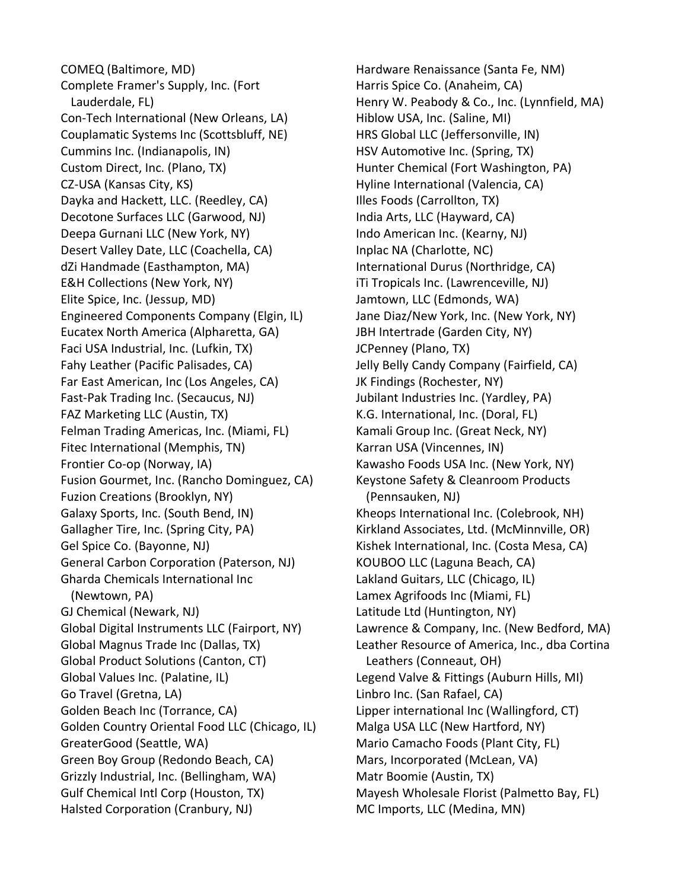COMEQ (Baltimore, MD) Complete Framer's Supply, Inc. (Fort Lauderdale, FL) Con-Tech International (New Orleans, LA) Couplamatic Systems Inc (Scottsbluff, NE) Cummins Inc. (Indianapolis, IN) Custom Direct, Inc. (Plano, TX) CZ-USA (Kansas City, KS) Dayka and Hackett, LLC. (Reedley, CA) Decotone Surfaces LLC (Garwood, NJ) Deepa Gurnani LLC (New York, NY) Desert Valley Date, LLC (Coachella, CA) dZi Handmade (Easthampton, MA) E&H Collections (New York, NY) Elite Spice, Inc. (Jessup, MD) Engineered Components Company (Elgin, IL) Eucatex North America (Alpharetta, GA) Faci USA Industrial, Inc. (Lufkin, TX) Fahy Leather (Pacific Palisades, CA) Far East American, Inc (Los Angeles, CA) Fast-Pak Trading Inc. (Secaucus, NJ) FAZ Marketing LLC (Austin, TX) Felman Trading Americas, Inc. (Miami, FL) Fitec International (Memphis, TN) Frontier Co-op (Norway, IA) Fusion Gourmet, Inc. (Rancho Dominguez, CA) Fuzion Creations (Brooklyn, NY) Galaxy Sports, Inc. (South Bend, IN) Gallagher Tire, Inc. (Spring City, PA) Gel Spice Co. (Bayonne, NJ) General Carbon Corporation (Paterson, NJ) Gharda Chemicals International Inc (Newtown, PA) GJ Chemical (Newark, NJ) Global Digital Instruments LLC (Fairport, NY) Global Magnus Trade Inc (Dallas, TX) Global Product Solutions (Canton, CT) Global Values Inc. (Palatine, IL) Go Travel (Gretna, LA) Golden Beach Inc (Torrance, CA) Golden Country Oriental Food LLC (Chicago, IL) GreaterGood (Seattle, WA) Green Boy Group (Redondo Beach, CA) Grizzly Industrial, Inc. (Bellingham, WA) Gulf Chemical Intl Corp (Houston, TX) Halsted Corporation (Cranbury, NJ)

Hardware Renaissance (Santa Fe, NM) Harris Spice Co. (Anaheim, CA) Henry W. Peabody & Co., Inc. (Lynnfield, MA) Hiblow USA, Inc. (Saline, MI) HRS Global LLC (Jeffersonville, IN) HSV Automotive Inc. (Spring, TX) Hunter Chemical (Fort Washington, PA) Hyline International (Valencia, CA) Illes Foods (Carrollton, TX) India Arts, LLC (Hayward, CA) Indo American Inc. (Kearny, NJ) Inplac NA (Charlotte, NC) International Durus (Northridge, CA) iTi Tropicals Inc. (Lawrenceville, NJ) Jamtown, LLC (Edmonds, WA) Jane Diaz/New York, Inc. (New York, NY) JBH Intertrade (Garden City, NY) JCPenney (Plano, TX) Jelly Belly Candy Company (Fairfield, CA) JK Findings (Rochester, NY) Jubilant Industries Inc. (Yardley, PA) K.G. International, Inc. (Doral, FL) Kamali Group Inc. (Great Neck, NY) Karran USA (Vincennes, IN) Kawasho Foods USA Inc. (New York, NY) Keystone Safety & Cleanroom Products (Pennsauken, NJ) Kheops International Inc. (Colebrook, NH) Kirkland Associates, Ltd. (McMinnville, OR) Kishek International, Inc. (Costa Mesa, CA) KOUBOO LLC (Laguna Beach, CA) Lakland Guitars, LLC (Chicago, IL) Lamex Agrifoods Inc (Miami, FL) Latitude Ltd (Huntington, NY) Lawrence & Company, Inc. (New Bedford, MA) Leather Resource of America, Inc., dba Cortina Leathers (Conneaut, OH) Legend Valve & Fittings (Auburn Hills, MI) Linbro Inc. (San Rafael, CA) Lipper international Inc (Wallingford, CT) Malga USA LLC (New Hartford, NY) Mario Camacho Foods (Plant City, FL) Mars, Incorporated (McLean, VA) Matr Boomie (Austin, TX) Mayesh Wholesale Florist (Palmetto Bay, FL) MC Imports, LLC (Medina, MN)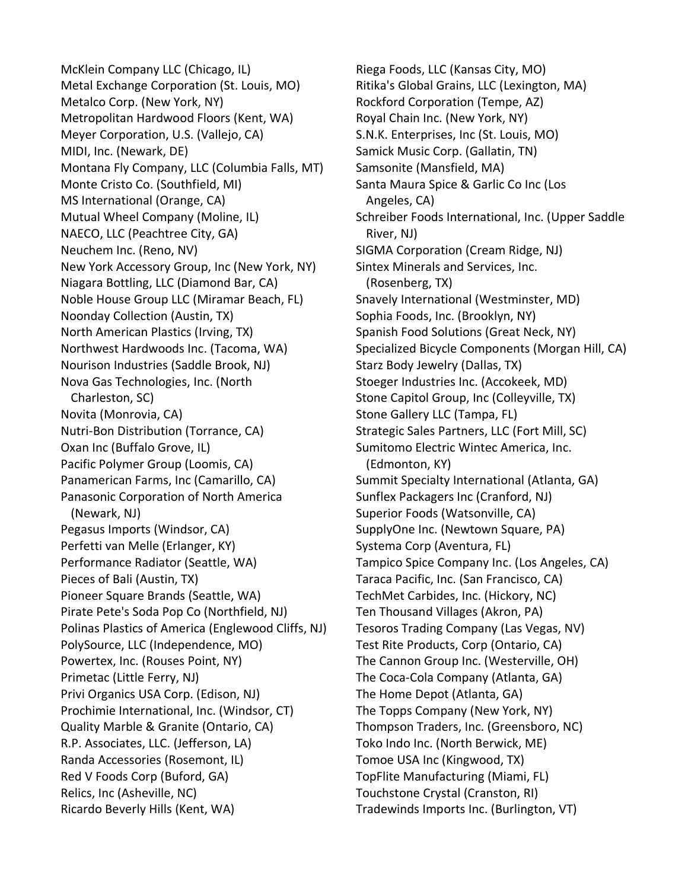McKlein Company LLC (Chicago, IL) Metal Exchange Corporation (St. Louis, MO) Metalco Corp. (New York, NY) Metropolitan Hardwood Floors (Kent, WA) Meyer Corporation, U.S. (Vallejo, CA) MIDI, Inc. (Newark, DE) Montana Fly Company, LLC (Columbia Falls, MT) Monte Cristo Co. (Southfield, MI) MS International (Orange, CA) Mutual Wheel Company (Moline, IL) NAECO, LLC (Peachtree City, GA) Neuchem Inc. (Reno, NV) New York Accessory Group, Inc (New York, NY) Niagara Bottling, LLC (Diamond Bar, CA) Noble House Group LLC (Miramar Beach, FL) Noonday Collection (Austin, TX) North American Plastics (Irving, TX) Northwest Hardwoods Inc. (Tacoma, WA) Nourison Industries (Saddle Brook, NJ) Nova Gas Technologies, Inc. (North Charleston, SC) Novita (Monrovia, CA) Nutri-Bon Distribution (Torrance, CA) Oxan Inc (Buffalo Grove, IL) Pacific Polymer Group (Loomis, CA) Panamerican Farms, Inc (Camarillo, CA) Panasonic Corporation of North America (Newark, NJ) Pegasus Imports (Windsor, CA) Perfetti van Melle (Erlanger, KY) Performance Radiator (Seattle, WA) Pieces of Bali (Austin, TX) Pioneer Square Brands (Seattle, WA) Pirate Pete's Soda Pop Co (Northfield, NJ) Polinas Plastics of America (Englewood Cliffs, NJ) PolySource, LLC (Independence, MO) Powertex, Inc. (Rouses Point, NY) Primetac (Little Ferry, NJ) Privi Organics USA Corp. (Edison, NJ) Prochimie International, Inc. (Windsor, CT) Quality Marble & Granite (Ontario, CA) R.P. Associates, LLC. (Jefferson, LA) Randa Accessories (Rosemont, IL) Red V Foods Corp (Buford, GA) Relics, Inc (Asheville, NC) Ricardo Beverly Hills (Kent, WA)

Riega Foods, LLC (Kansas City, MO) Ritika's Global Grains, LLC (Lexington, MA) Rockford Corporation (Tempe, AZ) Royal Chain Inc. (New York, NY) S.N.K. Enterprises, Inc (St. Louis, MO) Samick Music Corp. (Gallatin, TN) Samsonite (Mansfield, MA) Santa Maura Spice & Garlic Co Inc (Los Angeles, CA) Schreiber Foods International, Inc. (Upper Saddle River, NJ) SIGMA Corporation (Cream Ridge, NJ) Sintex Minerals and Services, Inc. (Rosenberg, TX) Snavely International (Westminster, MD) Sophia Foods, Inc. (Brooklyn, NY) Spanish Food Solutions (Great Neck, NY) Specialized Bicycle Components (Morgan Hill, CA) Starz Body Jewelry (Dallas, TX) Stoeger Industries Inc. (Accokeek, MD) Stone Capitol Group, Inc (Colleyville, TX) Stone Gallery LLC (Tampa, FL) Strategic Sales Partners, LLC (Fort Mill, SC) Sumitomo Electric Wintec America, Inc. (Edmonton, KY) Summit Specialty International (Atlanta, GA) Sunflex Packagers Inc (Cranford, NJ) Superior Foods (Watsonville, CA) SupplyOne Inc. (Newtown Square, PA) Systema Corp (Aventura, FL) Tampico Spice Company Inc. (Los Angeles, CA) Taraca Pacific, Inc. (San Francisco, CA) TechMet Carbides, Inc. (Hickory, NC) Ten Thousand Villages (Akron, PA) Tesoros Trading Company (Las Vegas, NV) Test Rite Products, Corp (Ontario, CA) The Cannon Group Inc. (Westerville, OH) The Coca-Cola Company (Atlanta, GA) The Home Depot (Atlanta, GA) The Topps Company (New York, NY) Thompson Traders, Inc. (Greensboro, NC) Toko Indo Inc. (North Berwick, ME) Tomoe USA Inc (Kingwood, TX) TopFlite Manufacturing (Miami, FL) Touchstone Crystal (Cranston, RI) Tradewinds Imports Inc. (Burlington, VT)